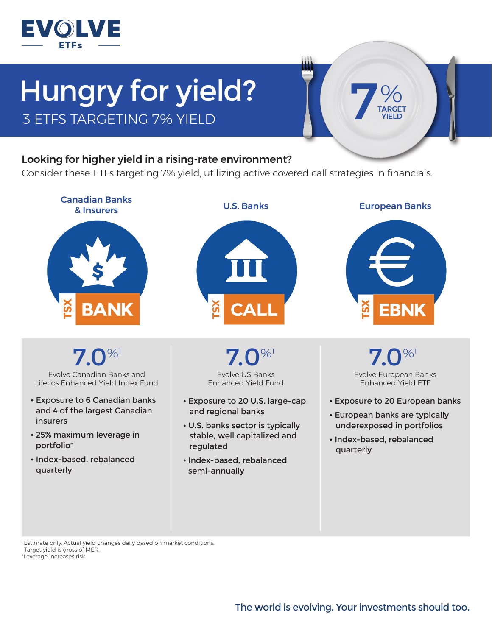

## Hungry for yield? 3 ETFS TARGETING 7% YIELD



## Looking for higher yield in a rising-rate environment?

Consider these ETFs targeting 7% yield, utilizing active covered call strategies in financials.



**7.0**%

Evolve Canadian Banks and Lifecos Enhanced Yield Index Fund

- Exposure to 6 Canadian banks and 4 of the largest Canadian insurers
- 25% maximum leverage in portfolio\*
- Index-based, rebalanced quarterly

Evolve US Banks Enhanced Yield Fund  $7.0\%$ 

- Exposure to 20 U.S. large-cap and regional banks
- U.S. banks sector is typically stable, well capitalized and regulated
- Index-based, rebalanced semi-annually

Evolve European Banks Enhanced Yield ETF  $7.0\%$ 

- Exposure to 20 European banks
- European banks are typically underexposed in portfolios
- Index-based, rebalanced quarterly

1 Estimate only. Actual yield changes daily based on market conditions. Target yield is gross of MER. \*Leverage increases risk.